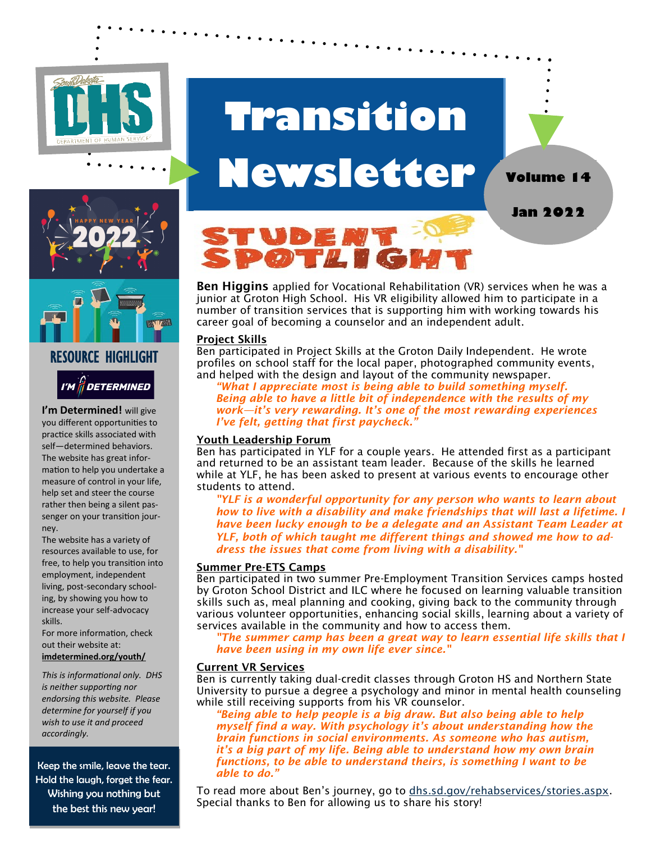

# **Transition Newsletter**

# RESOURCE HIGHLIGHT I'M *|| DETERMINED*

**I'm Determined!** will give you different opportunities to practice skills associated with self—determined behaviors. The website has great information to help you undertake a measure of control in your life, help set and steer the course rather then being a silent passenger on your transition journey.

The website has a variety of resources available to use, for free, to help you transition into employment, independent living, post-secondary schooling, by showing you how to increase your self-advocacy skills.

For more information, check out their website at: **imdetermined.org/youth/**

*This is informational only. DHS is neither supporting nor endorsing this website. Please determine for yourself if you wish to use it and proceed accordingly.* 

Keep the smile, leave the tear. Hold the laugh, forget the fear. Wishing you nothing but the best this new year!



Ben Higgins applied for Vocational Rehabilitation (VR) services when he was a junior at Groton High School. His VR eligibility allowed him to participate in a number of transition services that is supporting him with working towards his career goal of becoming a counselor and an independent adult.

**Jan 2022**

**Volume 14**

#### Project Skills

Ben participated in Project Skills at the Groton Daily Independent. He wrote profiles on school staff for the local paper, photographed community events, and helped with the design and layout of the community newspaper.

*"What I appreciate most is being able to build something myself. Being able to have a little bit of independence with the results of my work—it's very rewarding. It's one of the most rewarding experiences I've felt, getting that first paycheck."*

### Youth Leadership Forum

Ben has participated in YLF for a couple years. He attended first as a participant and returned to be an assistant team leader. Because of the skills he learned while at YLF, he has been asked to present at various events to encourage other students to attend.

*"YLF is a wonderful opportunity for any person who wants to learn about how to live with a disability and make friendships that will last a lifetime. I have been lucky enough to be a delegate and an Assistant Team Leader at YLF, both of which taught me different things and showed me how to address the issues that come from living with a disability."*

#### Summer Pre-ETS Camps

Ben participated in two summer Pre-Employment Transition Services camps hosted by Groton School District and ILC where he focused on learning valuable transition skills such as, meal planning and cooking, giving back to the community through various volunteer opportunities, enhancing social skills, learning about a variety of services available in the community and how to access them.

*"The summer camp has been a great way to learn essential life skills that I have been using in my own life ever since."*

### Current VR Services

Ben is currently taking dual-credit classes through Groton HS and Northern State University to pursue a degree a psychology and minor in mental health counseling while still receiving supports from his VR counselor.

*"Being able to help people is a big draw. But also being able to help myself find a way. With psychology it's about understanding how the brain functions in social environments. As someone who has autism, it's a big part of my life. Being able to understand how my own brain functions, to be able to understand theirs, is something I want to be able to do."*

To read more about Ben's journey, go to dhs.sd.gov/rehabservices/stories.aspx. Special thanks to Ben for allowing us to share his story!